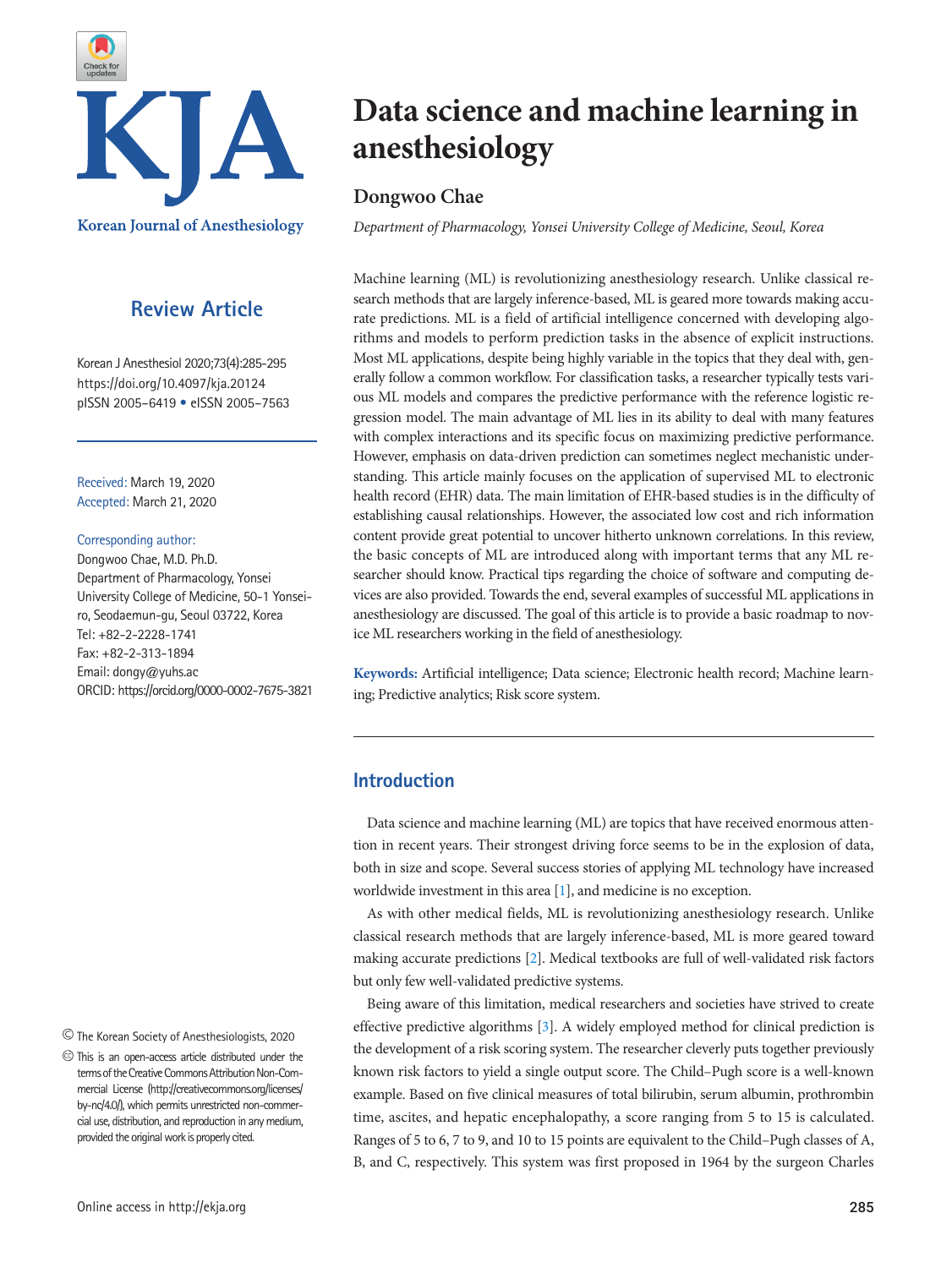

# **Review Article**

Korean J Anesthesiol 2020;73(4):285-295 https://doi.org/10.4097/kja.20124 pISSN 2005–6419 • eISSN 2005–7563

Received: March 19, 2020 Accepted: March 21, 2020

#### Corresponding author:

Dongwoo Chae, M.D. Ph.D. Department of Pharmacology, Yonsei University College of Medicine, 50-1 Yonseiro, Seodaemun-gu, Seoul 03722, Korea Tel: +82-2-2228-1741 Fax: +82-2-313-1894 Email: dongy@yuhs.ac ORCID: https://orcid.org/0000-0002-7675-3821

The Korean Society of Anesthesiologists, 2020

# **Data science and machine learning in anesthesiology**

# **Dongwoo Chae**

*Department of Pharmacology, Yonsei University College of Medicine, Seoul, Korea*

Machine learning (ML) is revolutionizing anesthesiology research. Unlike classical research methods that are largely inference-based, ML is geared more towards making accurate predictions. ML is a field of artificial intelligence concerned with developing algorithms and models to perform prediction tasks in the absence of explicit instructions. Most ML applications, despite being highly variable in the topics that they deal with, generally follow a common workflow. For classification tasks, a researcher typically tests various ML models and compares the predictive performance with the reference logistic regression model. The main advantage of ML lies in its ability to deal with many features with complex interactions and its specific focus on maximizing predictive performance. However, emphasis on data-driven prediction can sometimes neglect mechanistic understanding. This article mainly focuses on the application of supervised ML to electronic health record (EHR) data. The main limitation of EHR-based studies is in the difficulty of establishing causal relationships. However, the associated low cost and rich information content provide great potential to uncover hitherto unknown correlations. In this review, the basic concepts of ML are introduced along with important terms that any ML researcher should know. Practical tips regarding the choice of software and computing devices are also provided. Towards the end, several examples of successful ML applications in anesthesiology are discussed. The goal of this article is to provide a basic roadmap to novice ML researchers working in the field of anesthesiology.

**Keywords:** Artificial intelligence; Data science; Electronic health record; Machine learning; Predictive analytics; Risk score system.

# **Introduction**

Data science and machine learning (ML) are topics that have received enormous attention in recent years. Their strongest driving force seems to be in the explosion of data, both in size and scope. Several success stories of applying ML technology have increased worldwide investment in this area [\[1](#page-10-0)], and medicine is no exception.

As with other medical fields, ML is revolutionizing anesthesiology research. Unlike classical research methods that are largely inference-based, ML is more geared toward making accurate predictions [[2](#page-10-1)]. Medical textbooks are full of well-validated risk factors but only few well-validated predictive systems.

Being aware of this limitation, medical researchers and societies have strived to create effective predictive algorithms [\[3\]](#page-10-2). A widely employed method for clinical prediction is the development of a risk scoring system. The researcher cleverly puts together previously known risk factors to yield a single output score. The Child–Pugh score is a well-known example. Based on five clinical measures of total bilirubin, serum albumin, prothrombin time, ascites, and hepatic encephalopathy, a score ranging from 5 to 15 is calculated. Ranges of 5 to 6, 7 to 9, and 10 to 15 points are equivalent to the Child–Pugh classes of A, B, and C, respectively. This system was first proposed in 1964 by the surgeon Charles

This is an open-access article distributed under the terms of the Creative Commons Attribution Non-Commercial License (http://creativecommons.org/licenses/ by-nc/4.0/), which permits unrestricted non-commercial use, distribution, and reproduction in any medium, provided the original work is properly cited.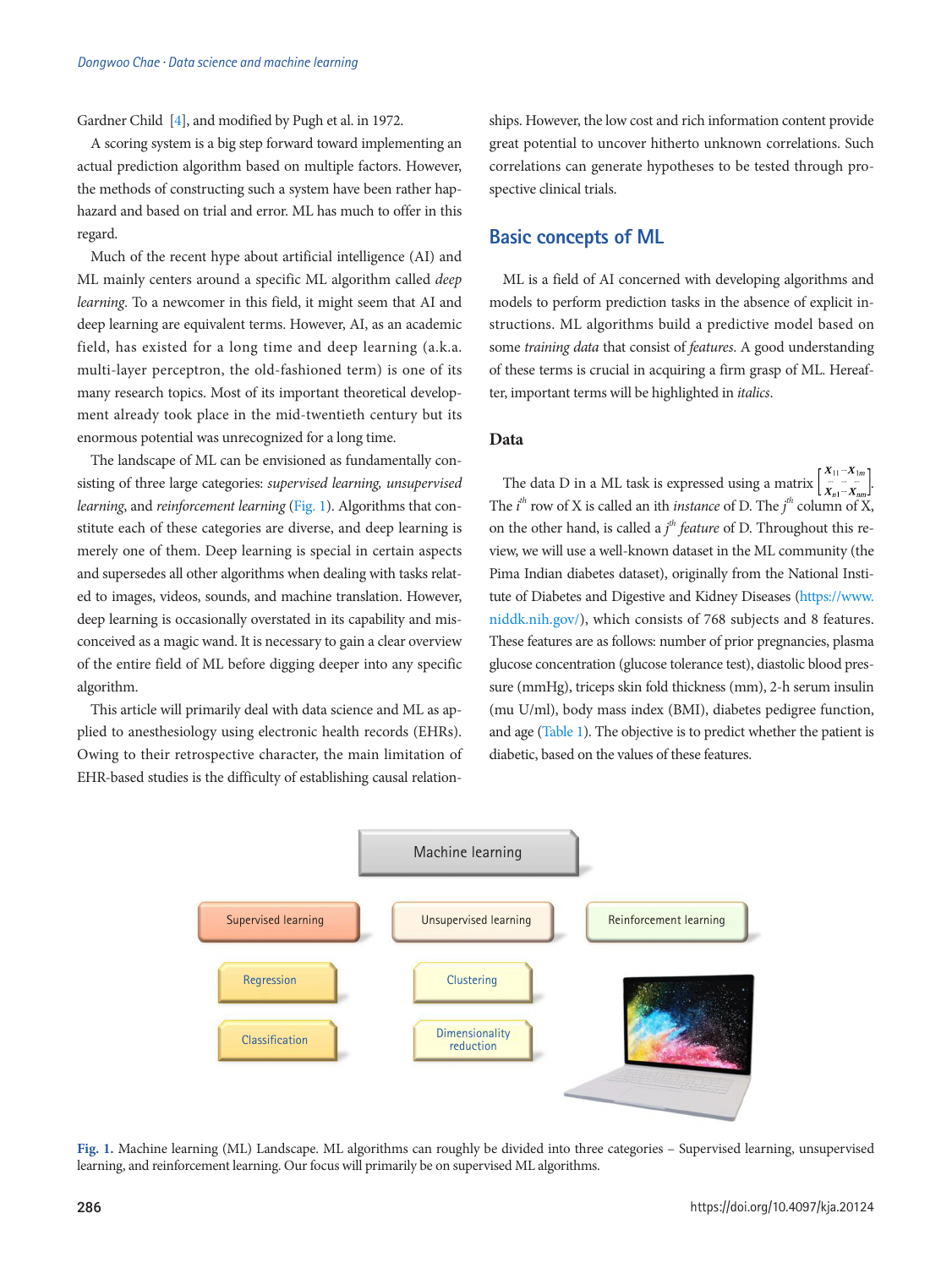Gardner Child [\[4\]](#page-10-3), and modified by Pugh et al. in 1972.

A scoring system is a big step forward toward implementing an actual prediction algorithm based on multiple factors. However, the methods of constructing such a system have been rather haphazard and based on trial and error. ML has much to offer in this regard.

Much of the recent hype about artificial intelligence (AI) and ML mainly centers around a specific ML algorithm called *deep learning*. To a newcomer in this field, it might seem that AI and deep learning are equivalent terms. However, AI, as an academic field, has existed for a long time and deep learning (a.k.a. multi-layer perceptron, the old-fashioned term) is one of its many research topics. Most of its important theoretical development already took place in the mid-twentieth century but its enormous potential was unrecognized for a long time.

The landscape of ML can be envisioned as fundamentally consisting of three large categories: *supervised learning, unsupervised learning*, and *reinforcement learning* ([Fig. 1](#page-10-4)). Algorithms that constitute each of these categories are diverse, and deep learning is merely one of them. Deep learning is special in certain aspects and supersedes all other algorithms when dealing with tasks related to images, videos, sounds, and machine translation. However, deep learning is occasionally overstated in its capability and misconceived as a magic wand. It is necessary to gain a clear overview of the entire field of ML before digging deeper into any specific algorithm.

This article will primarily deal with data science and ML as applied to anesthesiology using electronic health records (EHRs). Owing to their retrospective character, the main limitation of EHR-based studies is the difficulty of establishing causal relationships. However, the low cost and rich information content provide great potential to uncover hitherto unknown correlations. Such correlations can generate hypotheses to be tested through prospective clinical trials.

# **Basic concepts of ML**

ML is a field of AI concerned with developing algorithms and models to perform prediction tasks in the absence of explicit instructions. ML algorithms build a predictive model based on some *training data* that consist of *features*. A good understanding of these terms is crucial in acquiring a firm grasp of ML. Hereafter, important terms will be highlighted in *italics*.

### **Data**

The data D in a ML task is expressed using a matrix  $\left[\frac{X_{11}-X_{1m}}{X_{n1}-X_{nm}}\right]$ The  $i^{th}$  row of X is called an ith *instance* of D. The  $j^{th}$  column of X, on the other hand, is called a *j th feature* of D. Throughout this review, we will use a well-known dataset in the ML community (the Pima Indian diabetes dataset), originally from the National Institute of Diabetes and Digestive and Kidney Diseases (https:[//www.](www.niddk.nih.gov/) [niddk.nih.gov/\), which consists of 768 subjects and 8 featur](www.niddk.nih.gov/)es. These features are as follows: number of prior pregnancies, plasma glucose concentration (glucose tolerance test), diastolic blood pressure (mmHg), triceps skin fold thickness (mm), 2-h serum insulin (mu U/ml), body mass index (BMI), diabetes pedigree function, and age [\(Table 1](#page-2-0)). The objective is to predict whether the patient is diabetic, based on the values of these features.



**Fig. 1.** Machine learning (ML) Landscape. ML algorithms can roughly be divided into three categories – Supervised learning, unsupervised learning, and reinforcement learning. Our focus will primarily be on supervised ML algorithms.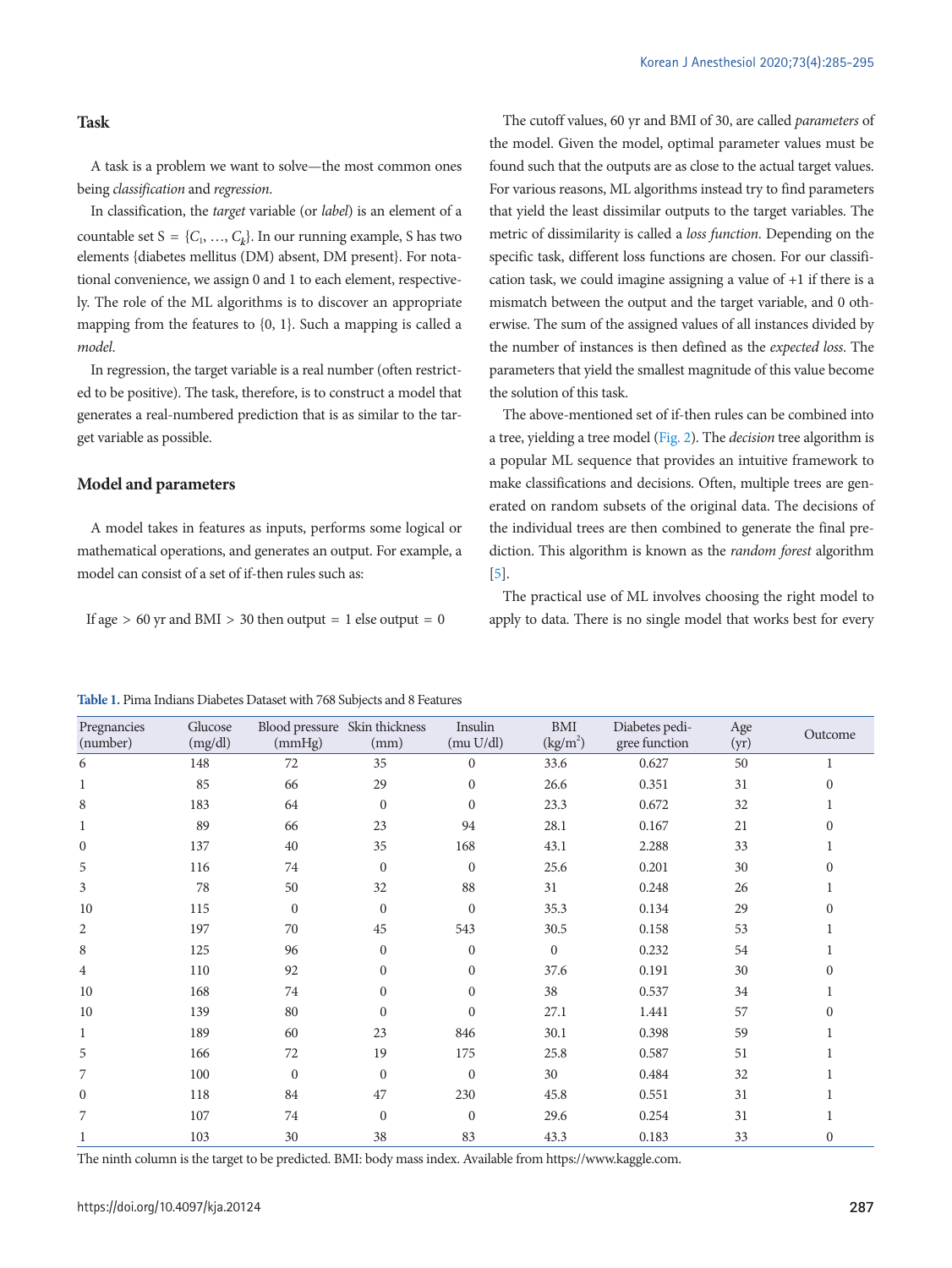#### **Task**

A task is a problem we want to solve—the most common ones being *classification* and *regression*.

In classification, the *target* variable (or *label*) is an element of a countable set  $S = \{C_1, ..., C_k\}$ . In our running example, S has two elements {diabetes mellitus (DM) absent, DM present}. For notational convenience, we assign 0 and 1 to each element, respectively. The role of the ML algorithms is to discover an appropriate mapping from the features to {0, 1}. Such a mapping is called a *model*.

In regression, the target variable is a real number (often restricted to be positive). The task, therefore, is to construct a model that generates a real-numbered prediction that is as similar to the target variable as possible.

#### **Model and parameters**

Pregnancies

A model takes in features as inputs, performs some logical or mathematical operations, and generates an output. For example, a model can consist of a set of if-then rules such as:

If age  $> 60$  yr and BMI  $> 30$  then output = 1 else output = 0

The cutoff values, 60 yr and BMI of 30, are called *parameters* of the model. Given the model, optimal parameter values must be found such that the outputs are as close to the actual target values. For various reasons, ML algorithms instead try to find parameters that yield the least dissimilar outputs to the target variables. The metric of dissimilarity is called a *loss function*. Depending on the specific task, different loss functions are chosen. For our classification task, we could imagine assigning a value of +1 if there is a mismatch between the output and the target variable, and 0 otherwise. The sum of the assigned values of all instances divided by the number of instances is then defined as the *expected loss*. The parameters that yield the smallest magnitude of this value become the solution of this task.

The above-mentioned set of if-then rules can be combined into a tree, yielding a tree model [\(Fig. 2](#page-3-0)). The *decision* tree algorithm is a popular ML sequence that provides an intuitive framework to make classifications and decisions. Often, multiple trees are generated on random subsets of the original data. The decisions of the individual trees are then combined to generate the final prediction. This algorithm is known as the *random forest* algorithm [\[5\]](#page-10-5).

The practical use of ML involves choosing the right model to apply to data. There is no single model that works best for every

Age

Diabetes pedi-

#### <span id="page-2-0"></span>**Table 1.** Pima Indians Diabetes Dataset with 768 Subjects and 8 Features

Blood pressure Skin thickness

Glucose

(number) (mg/dl) (mmHg) (mm) (mu U/dl)  $(kg/m<sup>2</sup>)$ gree function  $(\text{yr})$  Outcome 6 148 72 35 0 33.6 0.627 50 1 1 85 66 29 0 26.6 0.351 31 0 8 183 64 0 0 23.3 0.672 32 1 1 89 66 23 94 28.1 0.167 21 0 0 137 40 35 168 43.1 2.288 33 1 5 116 74 0 0 25.6 0.201 30 0 3 78 50 32 88 31 0.248 26 1 10 115 0 0 0 35.3 0.134 29 0 2 197 70 45 543 30.5 0.158 53 1 8 125 96 0 0 0 0.232 54 1 4 110 92 0 0 37.6 0.191 30 0 10 168 74 0 0 38 0.537 34 1 10 139 80 0 0 27.1 1.441 57 0 1 189 60 23 846 30.1 0.398 59 1 5 166 72 19 175 25.8 0.587 51 1 7 100 0 0 0 30 0.484 32 1 0 118 84 47 230 45.8 0.551 31 1 7 107 74 0 0 29.6 0.254 31 1 1 103 30 38 83 43.3 0.183 33 0

Insulin

BMI

The ninth column is the target to be predicted. BMI: body mass index. Available from [https://www.kaggle.com.](https://www.kaggle.com)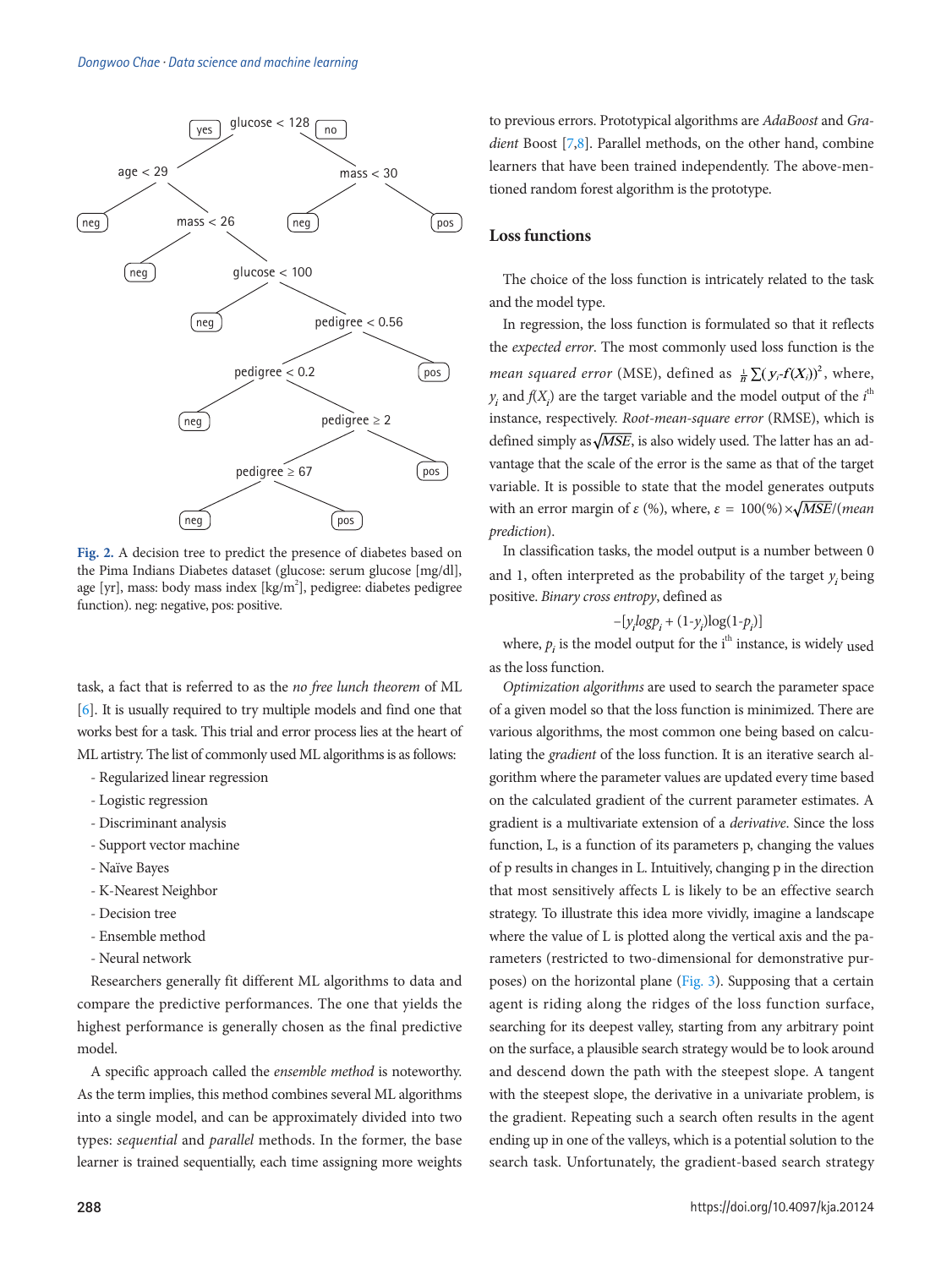<span id="page-3-0"></span>

**Fig. 2.** A decision tree to predict the presence of diabetes based on the Pima Indians Diabetes dataset (glucose: serum glucose [mg/dl], age [yr], mass: body mass index [kg/m<sup>2</sup>], pedigree: diabetes pedigree function). neg: negative, pos: positive.

task, a fact that is referred to as the *no free lunch theorem* of ML [\[6\]](#page-10-6). It is usually required to try multiple models and find one that works best for a task. This trial and error process lies at the heart of ML artistry. The list of commonly used ML algorithms is as follows:

- Regularized linear regression
- Logistic regression
- Discriminant analysis
- Support vector machine
- Naïve Bayes
- K-Nearest Neighbor
- Decision tree
- Ensemble method
- Neural network

Researchers generally fit different ML algorithms to data and compare the predictive performances. The one that yields the highest performance is generally chosen as the final predictive model.

A specific approach called the *ensemble method* is noteworthy. As the term implies, this method combines several ML algorithms into a single model, and can be approximately divided into two types: *sequential* and *parallel* methods. In the former, the base learner is trained sequentially, each time assigning more weights

to previous errors. Prototypical algorithms are *AdaBoost* and *Gradient* Boost [\[7](#page-10-7)[,8\]](#page-10-8). Parallel methods, on the other hand, combine learners that have been trained independently. The above-mentioned random forest algorithm is the prototype.

## **Loss functions**

The choice of the loss function is intricately related to the task and the model type.

In regression, the loss function is formulated so that it reflects the *expected error*. The most commonly used loss function is the *mean squared error* (MSE), defined as  $\frac{1}{n} \sum (y_i - f(X_i))^2$ , where,  $y_i$  and  $f(X_i)$  are the target variable and the model output of the  $i^{\text{th}}$ instance, respectively. *Root-mean-square error* (RMSE), which is defined simply as  $\sqrt{MSE}$ , is also widely used. The latter has an advantage that the scale of the error is the same as that of the target variable. It is possible to state that the model generates outputs with an error margin of  $\varepsilon$  (%), where,  $\varepsilon = 100\%$ )  $\times\sqrt{MSE}$ /(*mean*) *prediction*).

In classification tasks, the model output is a number between 0 and 1, often interpreted as the probability of the target  $y_i$  being positive. *Binary cross entropy*, defined as

$$
-[y_i log p_i + (1 - y_i) log(1 - p_i)]
$$

where,  $p_i$  is the model output for the i<sup>th</sup> instance, is widely used as the loss function.

*Optimization algorithms* are used to search the parameter space of a given model so that the loss function is minimized. There are various algorithms, the most common one being based on calculating the *gradient* of the loss function. It is an iterative search algorithm where the parameter values are updated every time based on the calculated gradient of the current parameter estimates. A gradient is a multivariate extension of a *derivative*. Since the loss function, L, is a function of its parameters p, changing the values of p results in changes in L. Intuitively, changing p in the direction that most sensitively affects L is likely to be an effective search strategy. To illustrate this idea more vividly, imagine a landscape where the value of L is plotted along the vertical axis and the parameters (restricted to two-dimensional for demonstrative purposes) on the horizontal plane [\(Fig. 3\)](#page-4-0). Supposing that a certain agent is riding along the ridges of the loss function surface, searching for its deepest valley, starting from any arbitrary point on the surface, a plausible search strategy would be to look around and descend down the path with the steepest slope. A tangent with the steepest slope, the derivative in a univariate problem, is the gradient. Repeating such a search often results in the agent ending up in one of the valleys, which is a potential solution to the search task. Unfortunately, the gradient-based search strategy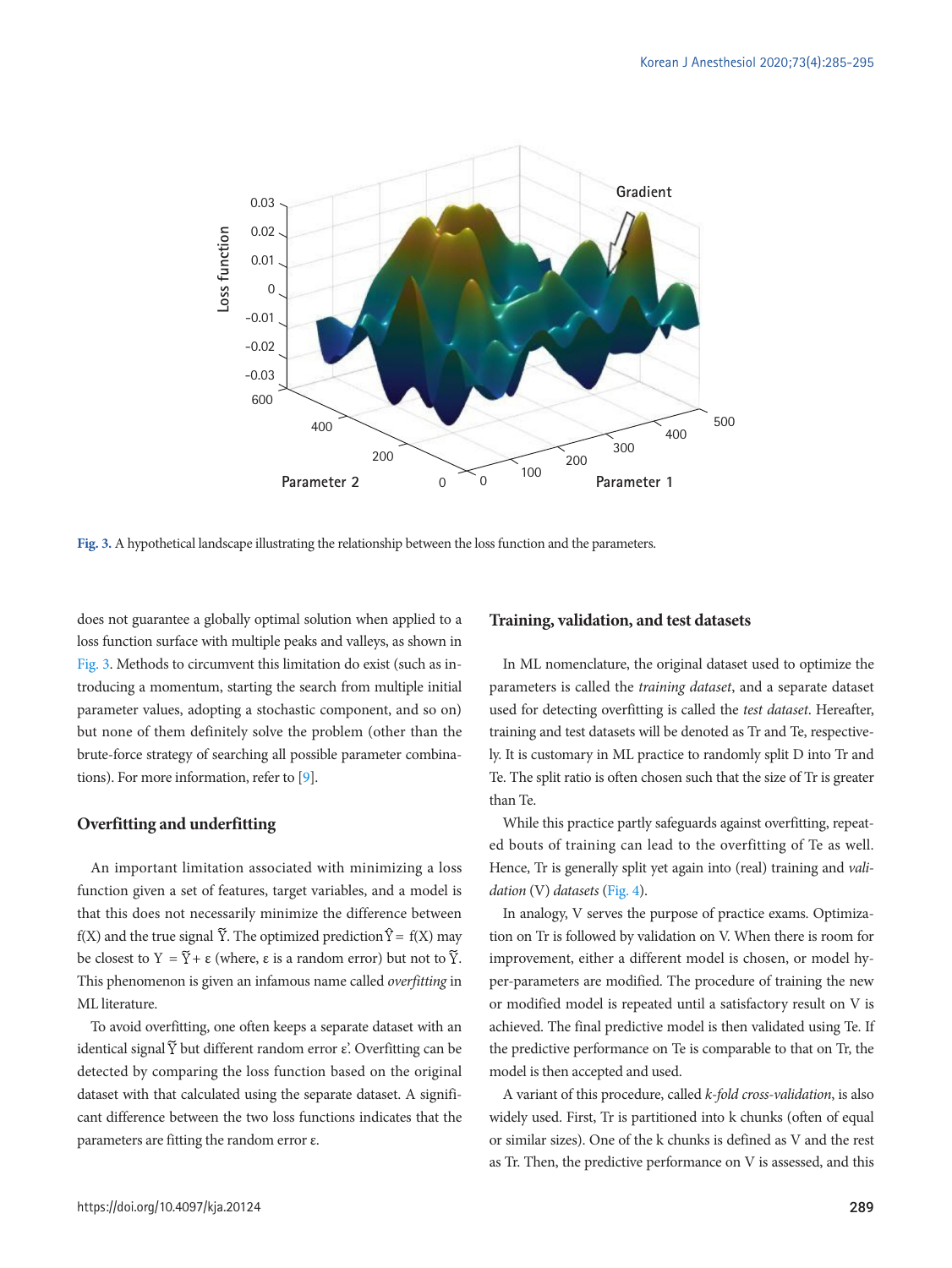<span id="page-4-0"></span>

**Fig. 3.** A hypothetical landscape illustrating the relationship between the loss function and the parameters.

does not guarantee a globally optimal solution when applied to a loss function surface with multiple peaks and valleys, as shown in [Fig. 3.](#page-4-0) Methods to circumvent this limitation do exist (such as introducing a momentum, starting the search from multiple initial parameter values, adopting a stochastic component, and so on) but none of them definitely solve the problem (other than the brute-force strategy of searching all possible parameter combinations). For more information, refer to [\[9\]](#page-10-9).

#### **Overfitting and underfitting**

An important limitation associated with minimizing a loss function given a set of features, target variables, and a model is that this does not necessarily minimize the difference between f(X) and the true signal  $\widetilde{Y}$ . The optimized prediction  $\widehat{Y} = f(X)$  may be closest to  $Y = \tilde{Y} + \varepsilon$  (where,  $\varepsilon$  is a random error) but not to  $\tilde{Y}$ . This phenomenon is given an infamous name called *overfitting* in ML literature.

To avoid overfitting, one often keeps a separate dataset with an identical signal  $\tilde{Y}$  but different random error ε'. Overfitting can be detected by comparing the loss function based on the original dataset with that calculated using the separate dataset. A significant difference between the two loss functions indicates that the parameters are fitting the random error ε.

#### **Training, validation, and test datasets**

In ML nomenclature, the original dataset used to optimize the parameters is called the *training dataset*, and a separate dataset used for detecting overfitting is called the *test dataset*. Hereafter, training and test datasets will be denoted as Tr and Te, respectively. It is customary in ML practice to randomly split D into Tr and Te. The split ratio is often chosen such that the size of Tr is greater than Te.

While this practice partly safeguards against overfitting, repeated bouts of training can lead to the overfitting of Te as well. Hence, Tr is generally split yet again into (real) training and *validation* (V) *datasets* [\(Fig. 4](#page-5-0)).

In analogy, V serves the purpose of practice exams. Optimization on Tr is followed by validation on V. When there is room for improvement, either a different model is chosen, or model hyper-parameters are modified. The procedure of training the new or modified model is repeated until a satisfactory result on V is achieved. The final predictive model is then validated using Te. If the predictive performance on Te is comparable to that on Tr, the model is then accepted and used.

A variant of this procedure, called *k-fold cross-validation*, is also widely used. First, Tr is partitioned into k chunks (often of equal or similar sizes). One of the k chunks is defined as V and the rest as Tr. Then, the predictive performance on V is assessed, and this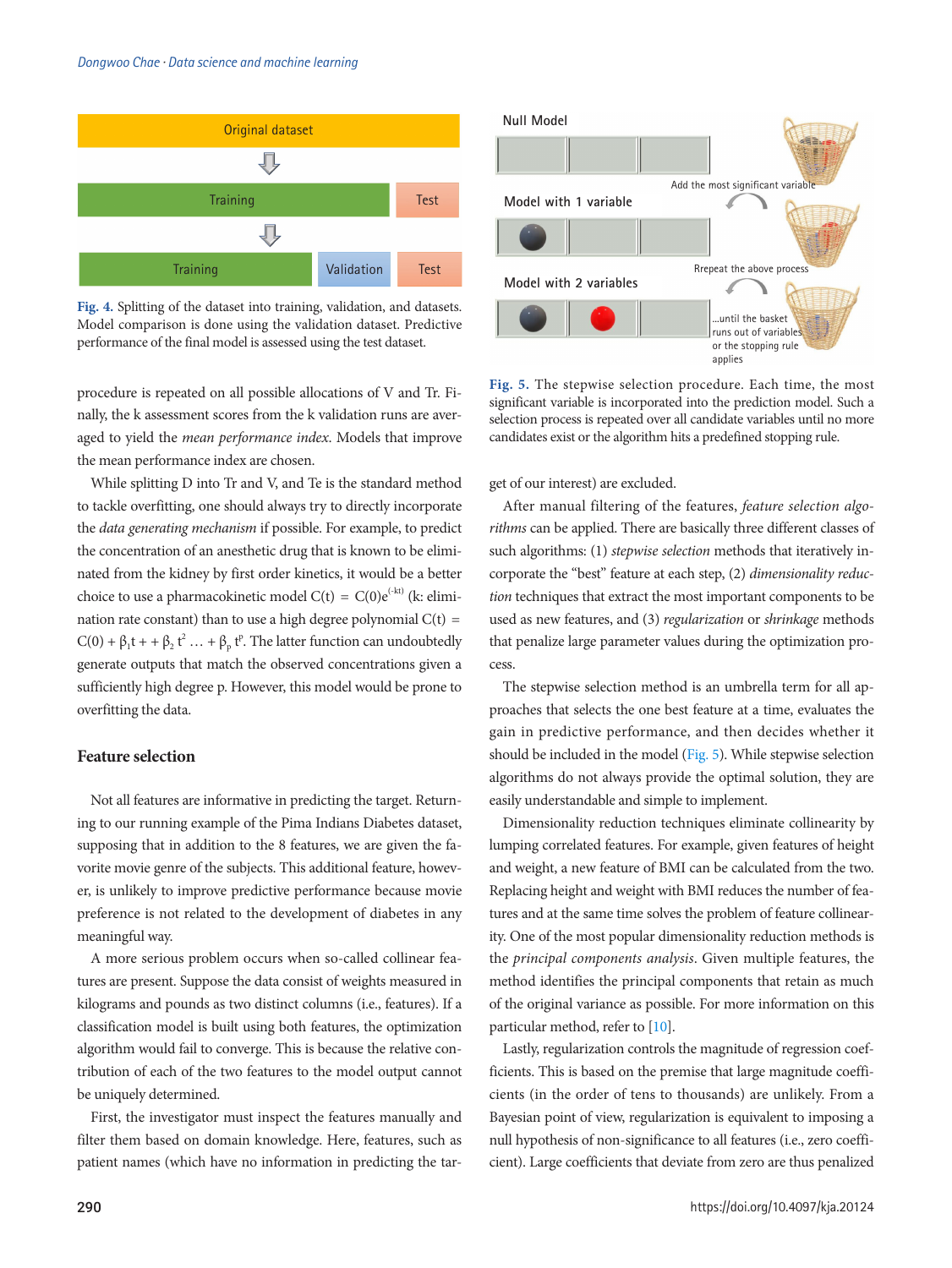#### *Dongwoo Chae · Data science and machine learning*

<span id="page-5-0"></span>

**Fig. 4.** Splitting of the dataset into training, validation, and datasets. Model comparison is done using the validation dataset. Predictive performance of the final model is assessed using the test dataset.

procedure is repeated on all possible allocations of V and Tr. Finally, the k assessment scores from the k validation runs are averaged to yield the *mean performance index*. Models that improve the mean performance index are chosen.

While splitting D into Tr and V, and Te is the standard method to tackle overfitting, one should always try to directly incorporate the *data generating mechanism* if possible. For example, to predict the concentration of an anesthetic drug that is known to be eliminated from the kidney by first order kinetics, it would be a better choice to use a pharmacokinetic model  $C(t) = C(0)e^{(-kt)}$  (k: elimination rate constant) than to use a high degree polynomial  $C(t)$  =  $C(0) + \beta_1 t + \beta_2 t^2 ... + \beta_p t^p$ . The latter function can undoubtedly generate outputs that match the observed concentrations given a sufficiently high degree p. However, this model would be prone to overfitting the data.

#### **Feature selection**

Not all features are informative in predicting the target. Returning to our running example of the Pima Indians Diabetes dataset, supposing that in addition to the 8 features, we are given the favorite movie genre of the subjects. This additional feature, however, is unlikely to improve predictive performance because movie preference is not related to the development of diabetes in any meaningful way.

A more serious problem occurs when so-called collinear features are present. Suppose the data consist of weights measured in kilograms and pounds as two distinct columns (i.e., features). If a classification model is built using both features, the optimization algorithm would fail to converge. This is because the relative contribution of each of the two features to the model output cannot be uniquely determined.

First, the investigator must inspect the features manually and filter them based on domain knowledge. Here, features, such as patient names (which have no information in predicting the tar-

<span id="page-5-1"></span>

**Fig. 5.** The stepwise selection procedure. Each time, the most significant variable is incorporated into the prediction model. Such a selection process is repeated over all candidate variables until no more candidates exist or the algorithm hits a predefined stopping rule.

get of our interest) are excluded.

After manual filtering of the features, *feature selection algorithms* can be applied. There are basically three different classes of such algorithms: (1) *stepwise selection* methods that iteratively incorporate the "best" feature at each step, (2) *dimensionality reduction* techniques that extract the most important components to be used as new features, and (3) *regularization* or *shrinkage* methods that penalize large parameter values during the optimization process.

The stepwise selection method is an umbrella term for all approaches that selects the one best feature at a time, evaluates the gain in predictive performance, and then decides whether it should be included in the model [\(Fig. 5](#page-5-1)). While stepwise selection algorithms do not always provide the optimal solution, they are easily understandable and simple to implement.

Dimensionality reduction techniques eliminate collinearity by lumping correlated features. For example, given features of height and weight, a new feature of BMI can be calculated from the two. Replacing height and weight with BMI reduces the number of features and at the same time solves the problem of feature collinearity. One of the most popular dimensionality reduction methods is the *principal components analysis*. Given multiple features, the method identifies the principal components that retain as much of the original variance as possible. For more information on this particular method, refer to [\[10](#page-10-10)].

Lastly, regularization controls the magnitude of regression coefficients. This is based on the premise that large magnitude coefficients (in the order of tens to thousands) are unlikely. From a Bayesian point of view, regularization is equivalent to imposing a null hypothesis of non-significance to all features (i.e., zero coefficient). Large coefficients that deviate from zero are thus penalized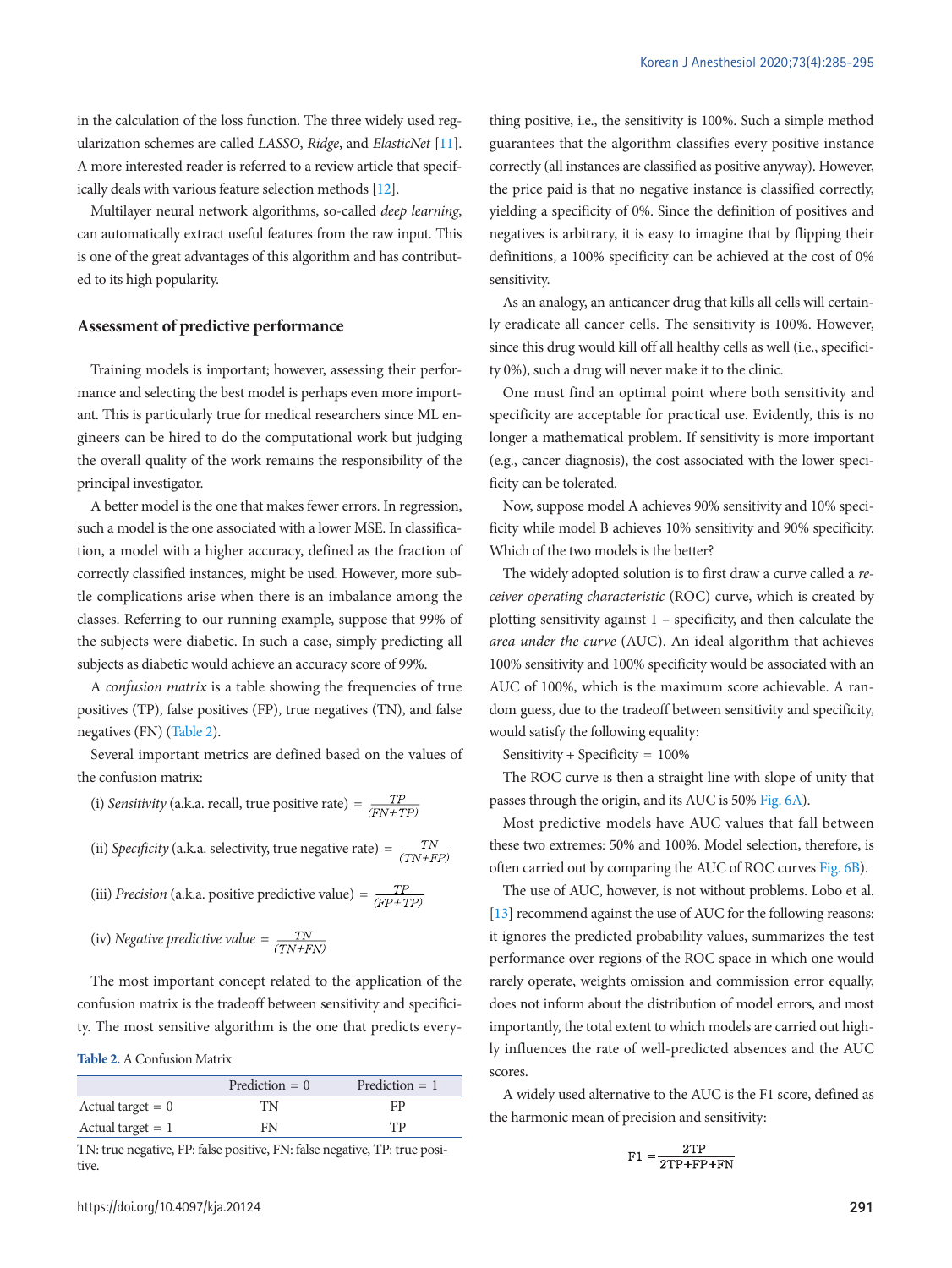in the calculation of the loss function. The three widely used regularization schemes are called *LASSO*, *Ridge*, and *ElasticNet* [\[11\]](#page-10-11). A more interested reader is referred to a review article that specifically deals with various feature selection methods [\[12\]](#page-10-12).

Multilayer neural network algorithms, so-called *deep learning*, can automatically extract useful features from the raw input. This is one of the great advantages of this algorithm and has contributed to its high popularity.

## **Assessment of predictive performance**

Training models is important; however, assessing their performance and selecting the best model is perhaps even more important. This is particularly true for medical researchers since ML engineers can be hired to do the computational work but judging the overall quality of the work remains the responsibility of the principal investigator.

A better model is the one that makes fewer errors. In regression, such a model is the one associated with a lower MSE. In classification, a model with a higher accuracy, defined as the fraction of correctly classified instances, might be used. However, more subtle complications arise when there is an imbalance among the classes. Referring to our running example, suppose that 99% of the subjects were diabetic. In such a case, simply predicting all subjects as diabetic would achieve an accuracy score of 99%.

A *confusion matrix* is a table showing the frequencies of true positives (TP), false positives (FP), true negatives (TN), and false negatives (FN) [\(Table 2](#page-6-0)).

Several important metrics are defined based on the values of the confusion matrix:

- (i) *Sensitivity* (a.k.a. recall, true positive rate) =  $\frac{TP}{(FN+TP)}$
- (ii) *Specificity* (a.k.a. selectivity, true negative rate) =  $\frac{TN}{(TN+FP)}$
- (iii) *Precision* (a.k.a. positive predictive value) =  $\frac{TP}{(FP+TP)}$

(iv) Negative predictive value = 
$$
\frac{TN}{(TN+FN)}
$$

The most important concept related to the application of the confusion matrix is the tradeoff between sensitivity and specificity. The most sensitive algorithm is the one that predicts every-

<span id="page-6-0"></span>**Table 2.** A Confusion Matrix

|                     | Prediction $= 0$ | Prediction $= 1$ |
|---------------------|------------------|------------------|
| Actual target $= 0$ | TN               | FP               |
| Actual target $= 1$ | FN               | TP               |

TN: true negative, FP: false positive, FN: false negative, TP: true positive

thing positive, i.e., the sensitivity is 100%. Such a simple method guarantees that the algorithm classifies every positive instance correctly (all instances are classified as positive anyway). However, the price paid is that no negative instance is classified correctly, yielding a specificity of 0%. Since the definition of positives and negatives is arbitrary, it is easy to imagine that by flipping their definitions, a 100% specificity can be achieved at the cost of 0% sensitivity.

As an analogy, an anticancer drug that kills all cells will certainly eradicate all cancer cells. The sensitivity is 100%. However, since this drug would kill off all healthy cells as well (i.e., specificity 0%), such a drug will never make it to the clinic.

One must find an optimal point where both sensitivity and specificity are acceptable for practical use. Evidently, this is no longer a mathematical problem. If sensitivity is more important (e.g., cancer diagnosis), the cost associated with the lower specificity can be tolerated.

Now, suppose model A achieves 90% sensitivity and 10% specificity while model B achieves 10% sensitivity and 90% specificity. Which of the two models is the better?

The widely adopted solution is to first draw a curve called a *receiver operating characteristic* (ROC) curve, which is created by plotting sensitivity against 1 – specificity, and then calculate the *area under the curve* (AUC). An ideal algorithm that achieves 100% sensitivity and 100% specificity would be associated with an AUC of 100%, which is the maximum score achievable. A random guess, due to the tradeoff between sensitivity and specificity, would satisfy the following equality:

Sensitivity + Specificity = 100%

The ROC curve is then a straight line with slope of unity that passes through the origin, and its AUC is 50% [Fig. 6A\)](#page-6-0).

Most predictive models have AUC values that fall between these two extremes: 50% and 100%. Model selection, therefore, is often carried out by comparing the AUC of ROC curves [Fig. 6B](#page-7-0)).

The use of AUC, however, is not without problems. Lobo et al. [\[13](#page-10-13)] recommend against the use of AUC for the following reasons: it ignores the predicted probability values, summarizes the test performance over regions of the ROC space in which one would rarely operate, weights omission and commission error equally, does not inform about the distribution of model errors, and most importantly, the total extent to which models are carried out highly influences the rate of well-predicted absences and the AUC scores.

A widely used alternative to the AUC is the F1 score, defined as the harmonic mean of precision and sensitivity:

$$
F1 = \frac{2TP}{2TP + FP + FN}
$$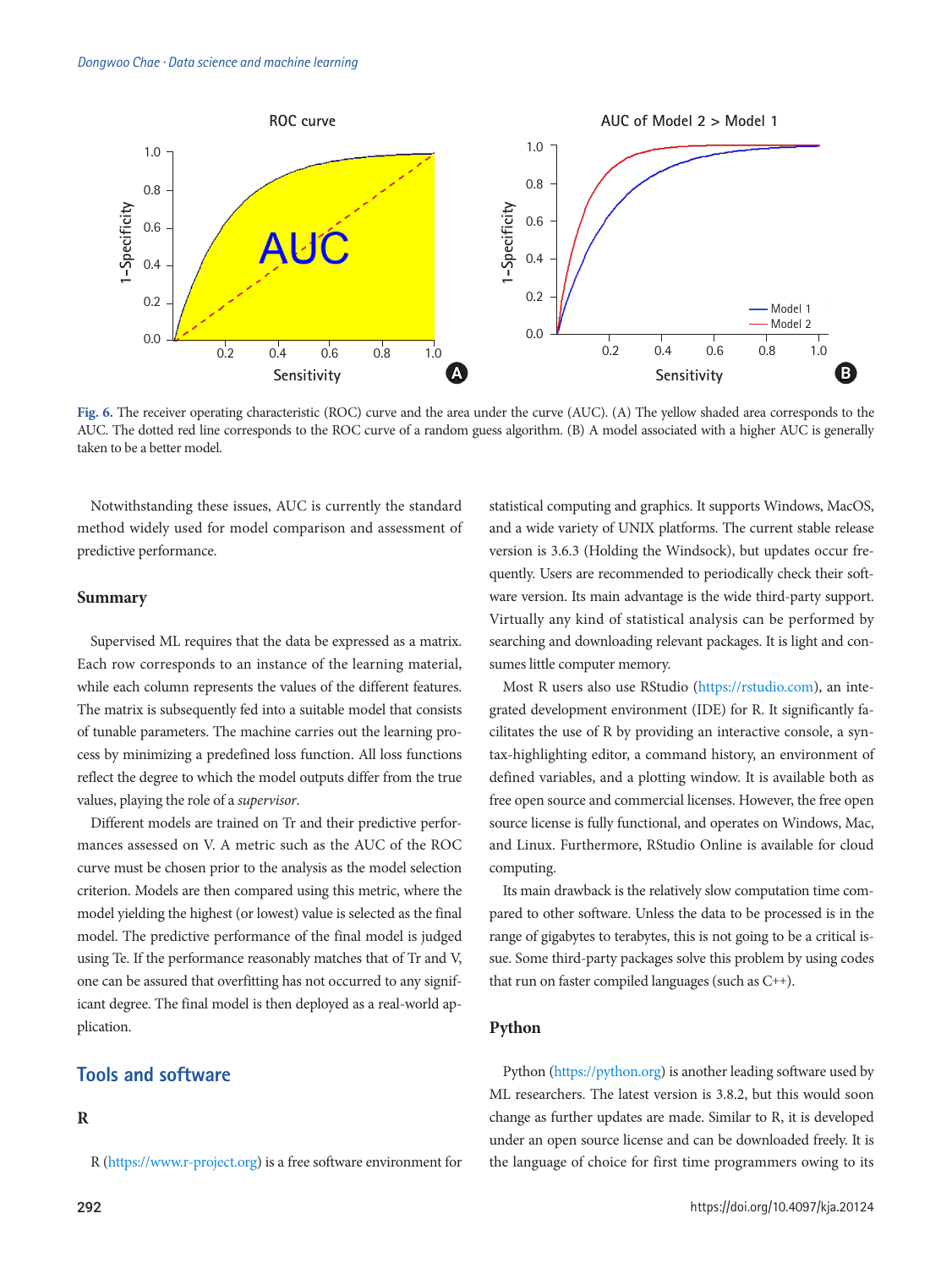<span id="page-7-0"></span>

**Fig. 6.** The receiver operating characteristic (ROC) curve and the area under the curve (AUC). (A) The yellow shaded area corresponds to the AUC. The dotted red line corresponds to the ROC curve of a random guess algorithm. (B) A model associated with a higher AUC is generally taken to be a better model.

Notwithstanding these issues, AUC is currently the standard method widely used for model comparison and assessment of predictive performance.

#### **Summary**

Supervised ML requires that the data be expressed as a matrix. Each row corresponds to an instance of the learning material, while each column represents the values of the different features. The matrix is subsequently fed into a suitable model that consists of tunable parameters. The machine carries out the learning process by minimizing a predefined loss function. All loss functions reflect the degree to which the model outputs differ from the true values, playing the role of a *supervisor*.

Different models are trained on Tr and their predictive performances assessed on V. A metric such as the AUC of the ROC curve must be chosen prior to the analysis as the model selection criterion. Models are then compared using this metric, where the model yielding the highest (or lowest) value is selected as the final model. The predictive performance of the final model is judged using Te. If the performance reasonably matches that of Tr and V, one can be assured that overfitting has not occurred to any significant degree. The final model is then deployed as a real-world application.

# **Tools and software**

# **R**

R (https:[//www.r-project.org\) is a fre](https://www.r-project.org)e software environment for

statistical computing and graphics. It supports Windows, MacOS, and a wide variety of UNIX platforms. The current stable release version is 3.6.3 (Holding the Windsock), but updates occur frequently. Users are recommended to periodically check their software version. Its main advantage is the wide third-party support. Virtually any kind of statistical analysis can be performed by searching and downloading relevant packages. It is light and consumes little computer memory.

Most R users also use RStudio [\(https://rstudio.com](https://rstudio.com)), an integrated development environment (IDE) for R. It significantly facilitates the use of R by providing an interactive console, a syntax-highlighting editor, a command history, an environment of defined variables, and a plotting window. It is available both as free open source and commercial licenses. However, the free open source license is fully functional, and operates on Windows, Mac, and Linux. Furthermore, RStudio Online is available for cloud computing.

Its main drawback is the relatively slow computation time compared to other software. Unless the data to be processed is in the range of gigabytes to terabytes, this is not going to be a critical issue. Some third-party packages solve this problem by using codes that run on faster compiled languages (such as C++).

#### **Python**

Python (<https://python.org>) is another leading software used by ML researchers. The latest version is 3.8.2, but this would soon change as further updates are made. Similar to R, it is developed under an open source license and can be downloaded freely. It is the language of choice for first time programmers owing to its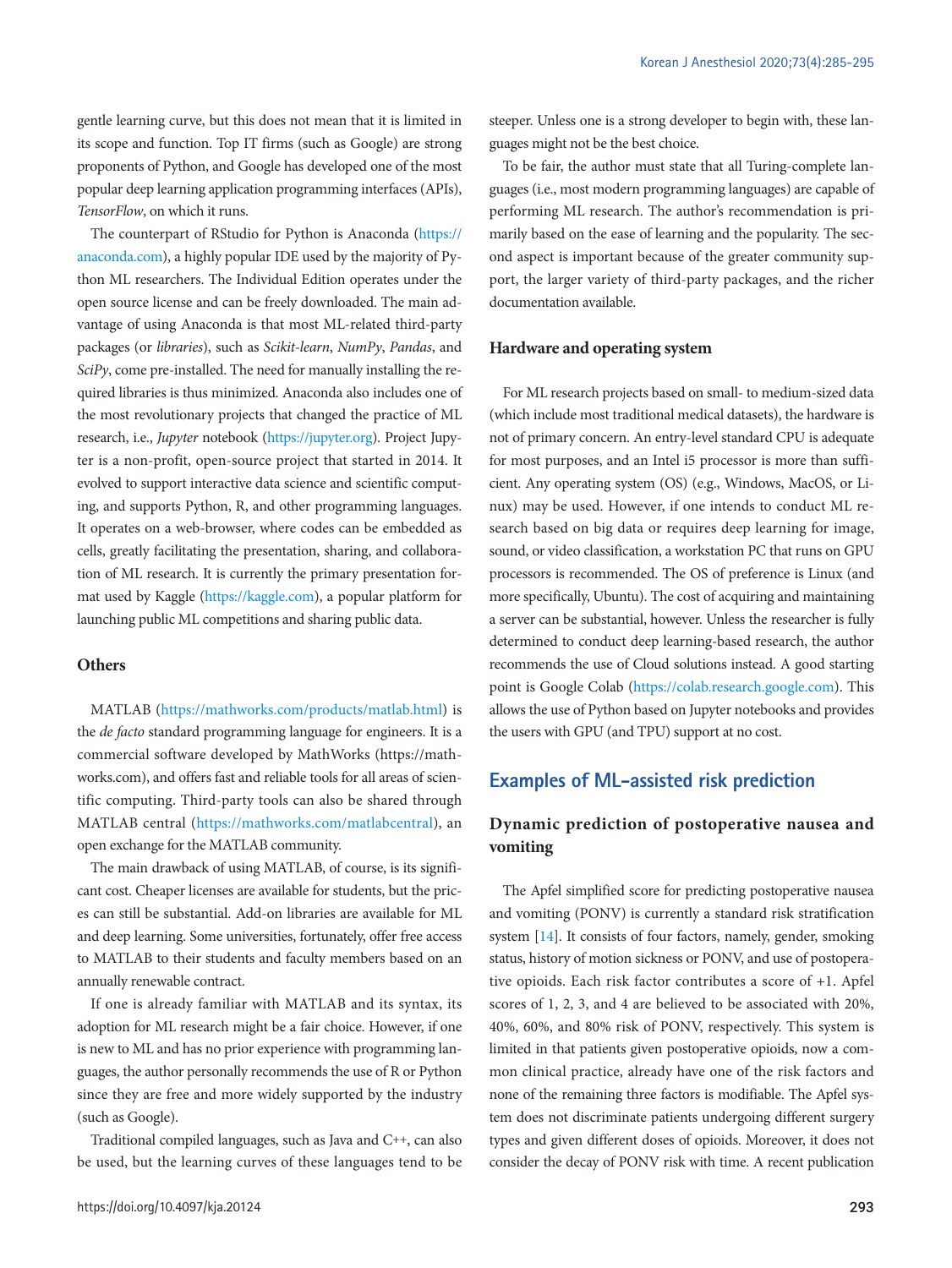gentle learning curve, but this does not mean that it is limited in its scope and function. Top IT firms (such as Google) are strong proponents of Python, and Google has developed one of the most popular deep learning application programming interfaces (APIs), *TensorFlow*, on which it runs.

The counterpart of RStudio for Python is Anaconda [\(https://](https://anaconda.com) [anaconda.com\)](https://anaconda.com), a highly popular IDE used by the majority of Python ML researchers. The Individual Edition operates under the open source license and can be freely downloaded. The main advantage of using Anaconda is that most ML-related third-party packages (or *libraries*), such as *Scikit-learn*, *NumPy*, *Pandas*, and *SciPy*, come pre-installed. The need for manually installing the required libraries is thus minimized. Anaconda also includes one of the most revolutionary projects that changed the practice of ML research, i.e., *Jupyter* notebook [\(https://jupyter.org\)](https://jupyter.org). Project Jupyter is a non-profit, open-source project that started in 2014. It evolved to support interactive data science and scientific computing, and supports Python, R, and other programming languages. It operates on a web-browser, where codes can be embedded as cells, greatly facilitating the presentation, sharing, and collaboration of ML research. It is currently the primary presentation format used by Kaggle [\(https://kaggle.com\)](https://kaggle.com), a popular platform for launching public ML competitions and sharing public data.

## **Others**

MATLAB ([https://mathworks.com/products/matlab.html\)](https://mathworks.com/products/matlab.html) is the *de facto* standard programming language for engineers. It is a commercial software developed by MathWorks (https://mathworks.com), and offers fast and reliable tools for all areas of scientific computing. Third-party tools can also be shared through MATLAB central (<https://mathworks.com/matlabcentral>), an open exchange for the MATLAB community.

The main drawback of using MATLAB, of course, is its significant cost. Cheaper licenses are available for students, but the prices can still be substantial. Add-on libraries are available for ML and deep learning. Some universities, fortunately, offer free access to MATLAB to their students and faculty members based on an annually renewable contract.

If one is already familiar with MATLAB and its syntax, its adoption for ML research might be a fair choice. However, if one is new to ML and has no prior experience with programming languages, the author personally recommends the use of R or Python since they are free and more widely supported by the industry (such as Google).

Traditional compiled languages, such as Java and C++, can also be used, but the learning curves of these languages tend to be steeper. Unless one is a strong developer to begin with, these languages might not be the best choice.

To be fair, the author must state that all Turing-complete languages (i.e., most modern programming languages) are capable of performing ML research. The author's recommendation is primarily based on the ease of learning and the popularity. The second aspect is important because of the greater community support, the larger variety of third-party packages, and the richer documentation available.

#### **Hardware and operating system**

For ML research projects based on small- to medium-sized data (which include most traditional medical datasets), the hardware is not of primary concern. An entry-level standard CPU is adequate for most purposes, and an Intel i5 processor is more than sufficient. Any operating system (OS) (e.g., Windows, MacOS, or Linux) may be used. However, if one intends to conduct ML research based on big data or requires deep learning for image, sound, or video classification, a workstation PC that runs on GPU processors is recommended. The OS of preference is Linux (and more specifically, Ubuntu). The cost of acquiring and maintaining a server can be substantial, however. Unless the researcher is fully determined to conduct deep learning-based research, the author recommends the use of Cloud solutions instead. A good starting point is Google Colab [\(https://colab.research.google.com](https://colab.research.google.com)). This allows the use of Python based on Jupyter notebooks and provides the users with GPU (and TPU) support at no cost.

# **Examples of ML-assisted risk prediction**

# **Dynamic prediction of postoperative nausea and vomiting**

The Apfel simplified score for predicting postoperative nausea and vomiting (PONV) is currently a standard risk stratification system [\[14\]](#page-10-14). It consists of four factors, namely, gender, smoking status, history of motion sickness or PONV, and use of postoperative opioids. Each risk factor contributes a score of +1. Apfel scores of 1, 2, 3, and 4 are believed to be associated with 20%, 40%, 60%, and 80% risk of PONV, respectively. This system is limited in that patients given postoperative opioids, now a common clinical practice, already have one of the risk factors and none of the remaining three factors is modifiable. The Apfel system does not discriminate patients undergoing different surgery types and given different doses of opioids. Moreover, it does not consider the decay of PONV risk with time. A recent publication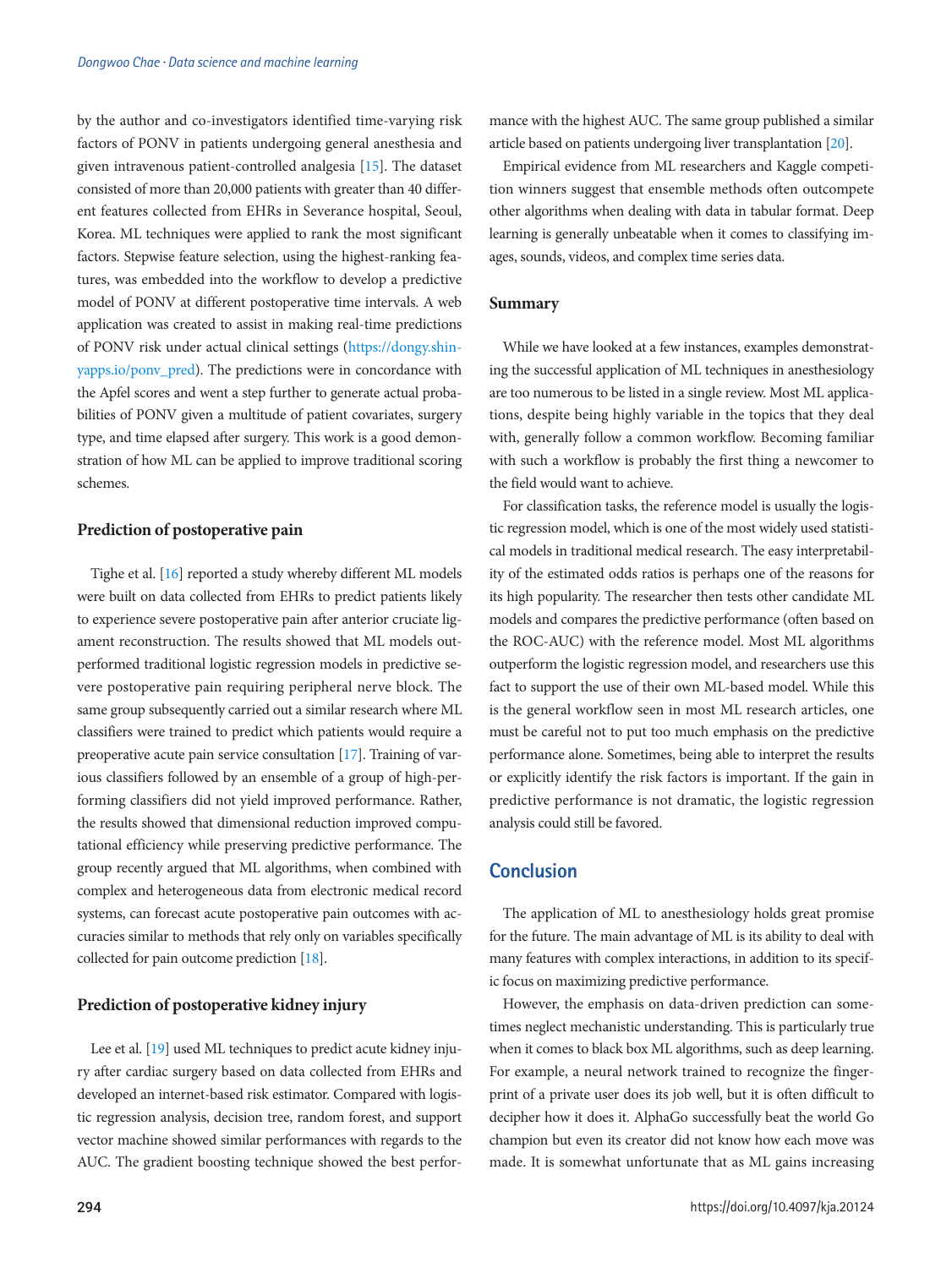by the author and co-investigators identified time-varying risk factors of PONV in patients undergoing general anesthesia and given intravenous patient-controlled analgesia [\[15](#page-10-15)]. The dataset consisted of more than 20,000 patients with greater than 40 different features collected from EHRs in Severance hospital, Seoul, Korea. ML techniques were applied to rank the most significant factors. Stepwise feature selection, using the highest-ranking features, was embedded into the workflow to develop a predictive model of PONV at different postoperative time intervals. A web application was created to assist in making real-time predictions of PONV risk under actual clinical settings ([https://dongy.shin](https://dongy.shinyapps.io/ponv_pred)[yapps.io/ponv\\_pred](https://dongy.shinyapps.io/ponv_pred)). The predictions were in concordance with the Apfel scores and went a step further to generate actual probabilities of PONV given a multitude of patient covariates, surgery type, and time elapsed after surgery. This work is a good demonstration of how ML can be applied to improve traditional scoring schemes.

## **Prediction of postoperative pain**

Tighe et al. [\[16\]](#page-10-16) reported a study whereby different ML models were built on data collected from EHRs to predict patients likely to experience severe postoperative pain after anterior cruciate ligament reconstruction. The results showed that ML models outperformed traditional logistic regression models in predictive severe postoperative pain requiring peripheral nerve block. The same group subsequently carried out a similar research where ML classifiers were trained to predict which patients would require a preoperative acute pain service consultation [\[17\]](#page-10-17). Training of various classifiers followed by an ensemble of a group of high-performing classifiers did not yield improved performance. Rather, the results showed that dimensional reduction improved computational efficiency while preserving predictive performance. The group recently argued that ML algorithms, when combined with complex and heterogeneous data from electronic medical record systems, can forecast acute postoperative pain outcomes with accuracies similar to methods that rely only on variables specifically collected for pain outcome prediction [\[18\]](#page-10-18).

#### **Prediction of postoperative kidney injury**

Lee et al. [\[19](#page-10-19)] used ML techniques to predict acute kidney injury after cardiac surgery based on data collected from EHRs and developed an internet-based risk estimator. Compared with logistic regression analysis, decision tree, random forest, and support vector machine showed similar performances with regards to the AUC. The gradient boosting technique showed the best performance with the highest AUC. The same group published a similar article based on patients undergoing liver transplantation [[20\]](#page-10-4).

Empirical evidence from ML researchers and Kaggle competition winners suggest that ensemble methods often outcompete other algorithms when dealing with data in tabular format. Deep learning is generally unbeatable when it comes to classifying images, sounds, videos, and complex time series data.

#### **Summary**

While we have looked at a few instances, examples demonstrating the successful application of ML techniques in anesthesiology are too numerous to be listed in a single review. Most ML applications, despite being highly variable in the topics that they deal with, generally follow a common workflow. Becoming familiar with such a workflow is probably the first thing a newcomer to the field would want to achieve.

For classification tasks, the reference model is usually the logistic regression model, which is one of the most widely used statistical models in traditional medical research. The easy interpretability of the estimated odds ratios is perhaps one of the reasons for its high popularity. The researcher then tests other candidate ML models and compares the predictive performance (often based on the ROC-AUC) with the reference model. Most ML algorithms outperform the logistic regression model, and researchers use this fact to support the use of their own ML-based model. While this is the general workflow seen in most ML research articles, one must be careful not to put too much emphasis on the predictive performance alone. Sometimes, being able to interpret the results or explicitly identify the risk factors is important. If the gain in predictive performance is not dramatic, the logistic regression analysis could still be favored.

## **Conclusion**

The application of ML to anesthesiology holds great promise for the future. The main advantage of ML is its ability to deal with many features with complex interactions, in addition to its specific focus on maximizing predictive performance.

However, the emphasis on data-driven prediction can sometimes neglect mechanistic understanding. This is particularly true when it comes to black box ML algorithms, such as deep learning. For example, a neural network trained to recognize the fingerprint of a private user does its job well, but it is often difficult to decipher how it does it. AlphaGo successfully beat the world Go champion but even its creator did not know how each move was made. It is somewhat unfortunate that as ML gains increasing